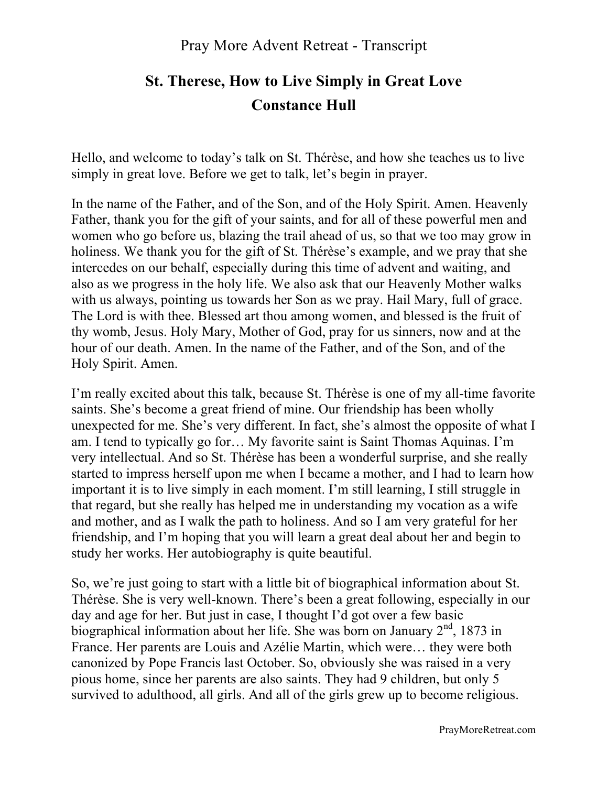# **St. Therese, How to Live Simply in Great Love Constance Hull**

Hello, and welcome to today's talk on St. Thérèse, and how she teaches us to live simply in great love. Before we get to talk, let's begin in prayer.

In the name of the Father, and of the Son, and of the Holy Spirit. Amen. Heavenly Father, thank you for the gift of your saints, and for all of these powerful men and women who go before us, blazing the trail ahead of us, so that we too may grow in holiness. We thank you for the gift of St. Thérèse's example, and we pray that she intercedes on our behalf, especially during this time of advent and waiting, and also as we progress in the holy life. We also ask that our Heavenly Mother walks with us always, pointing us towards her Son as we pray. Hail Mary, full of grace. The Lord is with thee. Blessed art thou among women, and blessed is the fruit of thy womb, Jesus. Holy Mary, Mother of God, pray for us sinners, now and at the hour of our death. Amen. In the name of the Father, and of the Son, and of the Holy Spirit. Amen.

I'm really excited about this talk, because St. Thérèse is one of my all-time favorite saints. She's become a great friend of mine. Our friendship has been wholly unexpected for me. She's very different. In fact, she's almost the opposite of what I am. I tend to typically go for… My favorite saint is Saint Thomas Aquinas. I'm very intellectual. And so St. Thérèse has been a wonderful surprise, and she really started to impress herself upon me when I became a mother, and I had to learn how important it is to live simply in each moment. I'm still learning, I still struggle in that regard, but she really has helped me in understanding my vocation as a wife and mother, and as I walk the path to holiness. And so I am very grateful for her friendship, and I'm hoping that you will learn a great deal about her and begin to study her works. Her autobiography is quite beautiful.

So, we're just going to start with a little bit of biographical information about St. Thérèse. She is very well-known. There's been a great following, especially in our day and age for her. But just in case, I thought I'd got over a few basic biographical information about her life. She was born on January 2<sup>nd</sup>, 1873 in France. Her parents are Louis and Azélie Martin, which were… they were both canonized by Pope Francis last October. So, obviously she was raised in a very pious home, since her parents are also saints. They had 9 children, but only 5 survived to adulthood, all girls. And all of the girls grew up to become religious.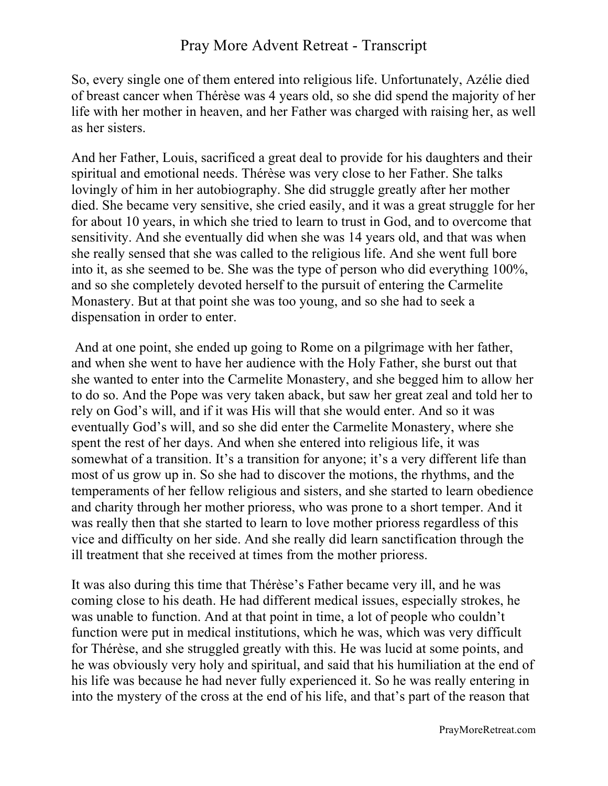So, every single one of them entered into religious life. Unfortunately, Azélie died of breast cancer when Thérèse was 4 years old, so she did spend the majority of her life with her mother in heaven, and her Father was charged with raising her, as well as her sisters.

And her Father, Louis, sacrificed a great deal to provide for his daughters and their spiritual and emotional needs. Thérèse was very close to her Father. She talks lovingly of him in her autobiography. She did struggle greatly after her mother died. She became very sensitive, she cried easily, and it was a great struggle for her for about 10 years, in which she tried to learn to trust in God, and to overcome that sensitivity. And she eventually did when she was 14 years old, and that was when she really sensed that she was called to the religious life. And she went full bore into it, as she seemed to be. She was the type of person who did everything 100%, and so she completely devoted herself to the pursuit of entering the Carmelite Monastery. But at that point she was too young, and so she had to seek a dispensation in order to enter.

And at one point, she ended up going to Rome on a pilgrimage with her father, and when she went to have her audience with the Holy Father, she burst out that she wanted to enter into the Carmelite Monastery, and she begged him to allow her to do so. And the Pope was very taken aback, but saw her great zeal and told her to rely on God's will, and if it was His will that she would enter. And so it was eventually God's will, and so she did enter the Carmelite Monastery, where she spent the rest of her days. And when she entered into religious life, it was somewhat of a transition. It's a transition for anyone; it's a very different life than most of us grow up in. So she had to discover the motions, the rhythms, and the temperaments of her fellow religious and sisters, and she started to learn obedience and charity through her mother prioress, who was prone to a short temper. And it was really then that she started to learn to love mother prioress regardless of this vice and difficulty on her side. And she really did learn sanctification through the ill treatment that she received at times from the mother prioress.

It was also during this time that Thérèse's Father became very ill, and he was coming close to his death. He had different medical issues, especially strokes, he was unable to function. And at that point in time, a lot of people who couldn't function were put in medical institutions, which he was, which was very difficult for Thérèse, and she struggled greatly with this. He was lucid at some points, and he was obviously very holy and spiritual, and said that his humiliation at the end of his life was because he had never fully experienced it. So he was really entering in into the mystery of the cross at the end of his life, and that's part of the reason that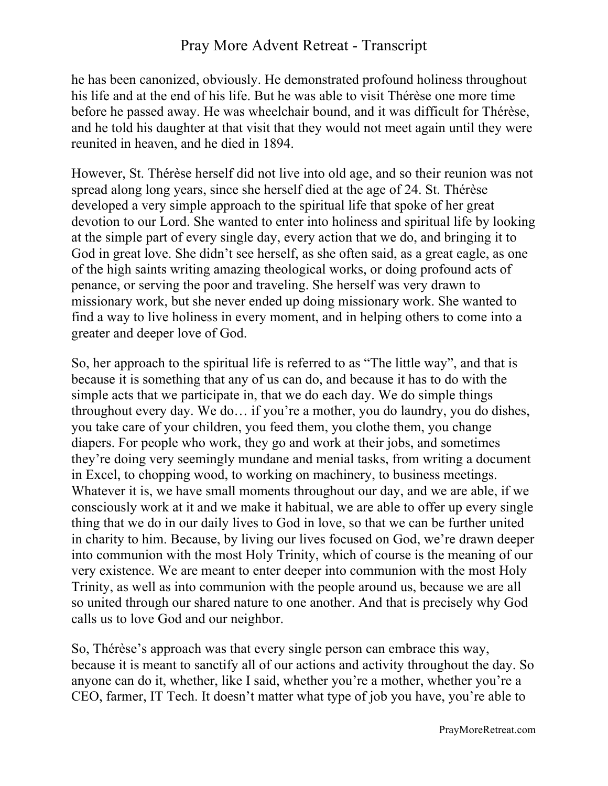he has been canonized, obviously. He demonstrated profound holiness throughout his life and at the end of his life. But he was able to visit Thérèse one more time before he passed away. He was wheelchair bound, and it was difficult for Thérèse, and he told his daughter at that visit that they would not meet again until they were reunited in heaven, and he died in 1894.

However, St. Thérèse herself did not live into old age, and so their reunion was not spread along long years, since she herself died at the age of 24. St. Thérèse developed a very simple approach to the spiritual life that spoke of her great devotion to our Lord. She wanted to enter into holiness and spiritual life by looking at the simple part of every single day, every action that we do, and bringing it to God in great love. She didn't see herself, as she often said, as a great eagle, as one of the high saints writing amazing theological works, or doing profound acts of penance, or serving the poor and traveling. She herself was very drawn to missionary work, but she never ended up doing missionary work. She wanted to find a way to live holiness in every moment, and in helping others to come into a greater and deeper love of God.

So, her approach to the spiritual life is referred to as "The little way", and that is because it is something that any of us can do, and because it has to do with the simple acts that we participate in, that we do each day. We do simple things throughout every day. We do… if you're a mother, you do laundry, you do dishes, you take care of your children, you feed them, you clothe them, you change diapers. For people who work, they go and work at their jobs, and sometimes they're doing very seemingly mundane and menial tasks, from writing a document in Excel, to chopping wood, to working on machinery, to business meetings. Whatever it is, we have small moments throughout our day, and we are able, if we consciously work at it and we make it habitual, we are able to offer up every single thing that we do in our daily lives to God in love, so that we can be further united in charity to him. Because, by living our lives focused on God, we're drawn deeper into communion with the most Holy Trinity, which of course is the meaning of our very existence. We are meant to enter deeper into communion with the most Holy Trinity, as well as into communion with the people around us, because we are all so united through our shared nature to one another. And that is precisely why God calls us to love God and our neighbor.

So, Thérèse's approach was that every single person can embrace this way, because it is meant to sanctify all of our actions and activity throughout the day. So anyone can do it, whether, like I said, whether you're a mother, whether you're a CEO, farmer, IT Tech. It doesn't matter what type of job you have, you're able to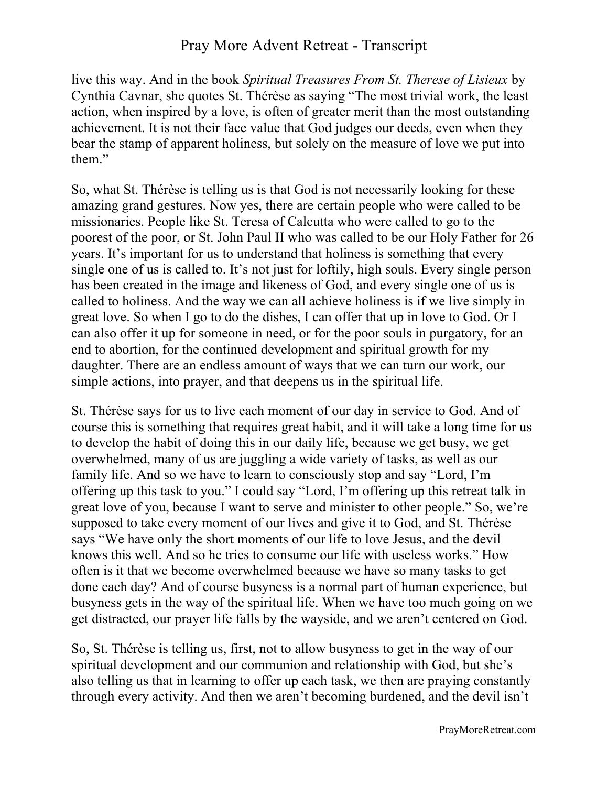live this way. And in the book *Spiritual Treasures From St. Therese of Lisieux* by Cynthia Cavnar, she quotes St. Thérèse as saying "The most trivial work, the least action, when inspired by a love, is often of greater merit than the most outstanding achievement. It is not their face value that God judges our deeds, even when they bear the stamp of apparent holiness, but solely on the measure of love we put into them."

So, what St. Thérèse is telling us is that God is not necessarily looking for these amazing grand gestures. Now yes, there are certain people who were called to be missionaries. People like St. Teresa of Calcutta who were called to go to the poorest of the poor, or St. John Paul II who was called to be our Holy Father for 26 years. It's important for us to understand that holiness is something that every single one of us is called to. It's not just for loftily, high souls. Every single person has been created in the image and likeness of God, and every single one of us is called to holiness. And the way we can all achieve holiness is if we live simply in great love. So when I go to do the dishes, I can offer that up in love to God. Or I can also offer it up for someone in need, or for the poor souls in purgatory, for an end to abortion, for the continued development and spiritual growth for my daughter. There are an endless amount of ways that we can turn our work, our simple actions, into prayer, and that deepens us in the spiritual life.

St. Thérèse says for us to live each moment of our day in service to God. And of course this is something that requires great habit, and it will take a long time for us to develop the habit of doing this in our daily life, because we get busy, we get overwhelmed, many of us are juggling a wide variety of tasks, as well as our family life. And so we have to learn to consciously stop and say "Lord, I'm offering up this task to you." I could say "Lord, I'm offering up this retreat talk in great love of you, because I want to serve and minister to other people." So, we're supposed to take every moment of our lives and give it to God, and St. Thérèse says "We have only the short moments of our life to love Jesus, and the devil knows this well. And so he tries to consume our life with useless works." How often is it that we become overwhelmed because we have so many tasks to get done each day? And of course busyness is a normal part of human experience, but busyness gets in the way of the spiritual life. When we have too much going on we get distracted, our prayer life falls by the wayside, and we aren't centered on God.

So, St. Thérèse is telling us, first, not to allow busyness to get in the way of our spiritual development and our communion and relationship with God, but she's also telling us that in learning to offer up each task, we then are praying constantly through every activity. And then we aren't becoming burdened, and the devil isn't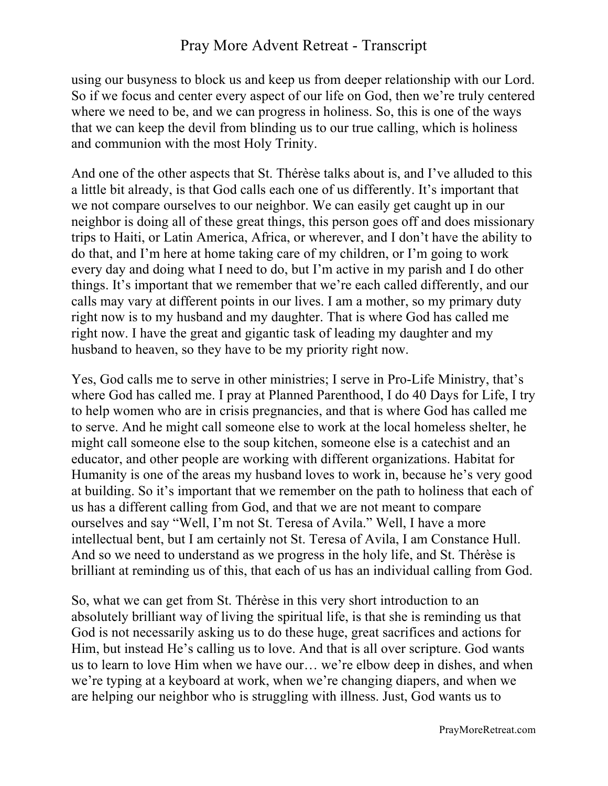using our busyness to block us and keep us from deeper relationship with our Lord. So if we focus and center every aspect of our life on God, then we're truly centered where we need to be, and we can progress in holiness. So, this is one of the ways that we can keep the devil from blinding us to our true calling, which is holiness and communion with the most Holy Trinity.

And one of the other aspects that St. Thérèse talks about is, and I've alluded to this a little bit already, is that God calls each one of us differently. It's important that we not compare ourselves to our neighbor. We can easily get caught up in our neighbor is doing all of these great things, this person goes off and does missionary trips to Haiti, or Latin America, Africa, or wherever, and I don't have the ability to do that, and I'm here at home taking care of my children, or I'm going to work every day and doing what I need to do, but I'm active in my parish and I do other things. It's important that we remember that we're each called differently, and our calls may vary at different points in our lives. I am a mother, so my primary duty right now is to my husband and my daughter. That is where God has called me right now. I have the great and gigantic task of leading my daughter and my husband to heaven, so they have to be my priority right now.

Yes, God calls me to serve in other ministries; I serve in Pro-Life Ministry, that's where God has called me. I pray at Planned Parenthood, I do 40 Days for Life, I try to help women who are in crisis pregnancies, and that is where God has called me to serve. And he might call someone else to work at the local homeless shelter, he might call someone else to the soup kitchen, someone else is a catechist and an educator, and other people are working with different organizations. Habitat for Humanity is one of the areas my husband loves to work in, because he's very good at building. So it's important that we remember on the path to holiness that each of us has a different calling from God, and that we are not meant to compare ourselves and say "Well, I'm not St. Teresa of Avila." Well, I have a more intellectual bent, but I am certainly not St. Teresa of Avila, I am Constance Hull. And so we need to understand as we progress in the holy life, and St. Thérèse is brilliant at reminding us of this, that each of us has an individual calling from God.

So, what we can get from St. Thérèse in this very short introduction to an absolutely brilliant way of living the spiritual life, is that she is reminding us that God is not necessarily asking us to do these huge, great sacrifices and actions for Him, but instead He's calling us to love. And that is all over scripture. God wants us to learn to love Him when we have our… we're elbow deep in dishes, and when we're typing at a keyboard at work, when we're changing diapers, and when we are helping our neighbor who is struggling with illness. Just, God wants us to